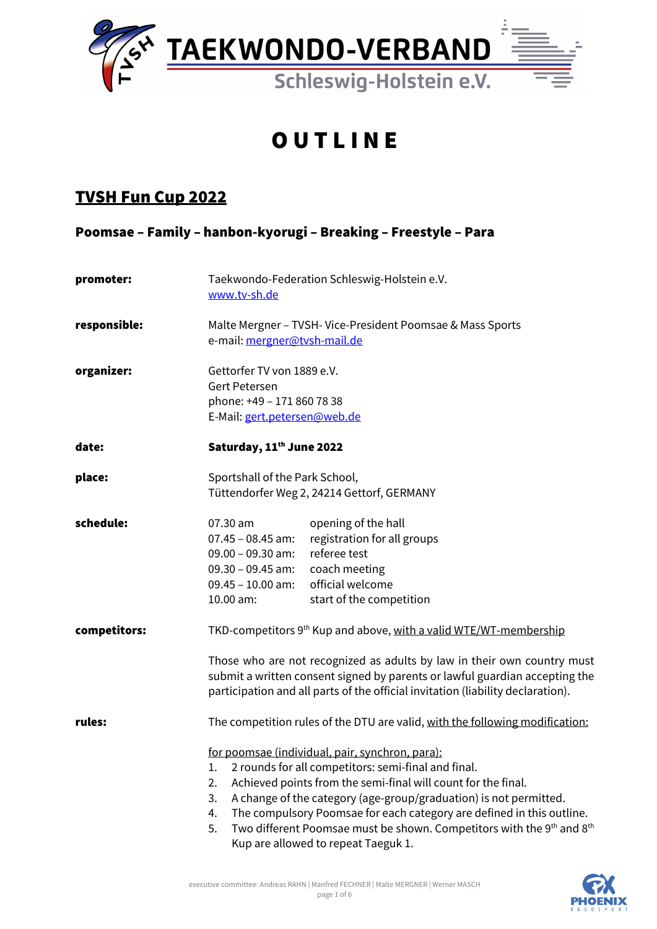

# **OUTLINE**

## TVSH Fun Cup 2022

Poomsae – Family – hanbon-kyorugi – Breaking – Freestyle – Para

| promoter:    | Taekwondo-Federation Schleswig-Holstein e.V.<br>www.tv-sh.de                                                                                                                                                                                                                                                                                                                                                                                                                                                                                        |
|--------------|-----------------------------------------------------------------------------------------------------------------------------------------------------------------------------------------------------------------------------------------------------------------------------------------------------------------------------------------------------------------------------------------------------------------------------------------------------------------------------------------------------------------------------------------------------|
| responsible: | Malte Mergner - TVSH- Vice-President Poomsae & Mass Sports<br>e-mail: mergner@tvsh-mail.de                                                                                                                                                                                                                                                                                                                                                                                                                                                          |
| organizer:   | Gettorfer TV von 1889 e.V.<br><b>Gert Petersen</b><br>phone: +49 - 171 860 78 38<br>E-Mail: gert.petersen@web.de                                                                                                                                                                                                                                                                                                                                                                                                                                    |
| date:        | Saturday, 11 <sup>th</sup> June 2022                                                                                                                                                                                                                                                                                                                                                                                                                                                                                                                |
| place:       | Sportshall of the Park School,<br>Tüttendorfer Weg 2, 24214 Gettorf, GERMANY                                                                                                                                                                                                                                                                                                                                                                                                                                                                        |
| schedule:    | opening of the hall<br>07.30 am<br>registration for all groups<br>$07.45 - 08.45$ am:<br>referee test<br>$09.00 - 09.30$ am:<br>coach meeting<br>$09.30 - 09.45$ am:<br>official welcome<br>$09.45 - 10.00$ am:<br>10.00 am:<br>start of the competition                                                                                                                                                                                                                                                                                            |
| competitors: | TKD-competitors 9 <sup>th</sup> Kup and above, with a valid WTE/WT-membership<br>Those who are not recognized as adults by law in their own country must<br>submit a written consent signed by parents or lawful guardian accepting the<br>participation and all parts of the official invitation (liability declaration).                                                                                                                                                                                                                          |
| rules:       | The competition rules of the DTU are valid, with the following modification:<br>for poomsae (individual, pair, synchron, para):<br>2 rounds for all competitors: semi-final and final.<br>1.<br>Achieved points from the semi-final will count for the final.<br>2.<br>A change of the category (age-group/graduation) is not permitted.<br>3.<br>The compulsory Poomsae for each category are defined in this outline.<br>4.<br>Two different Poomsae must be shown. Competitors with the 9th and 8th<br>5.<br>Kup are allowed to repeat Taeguk 1. |

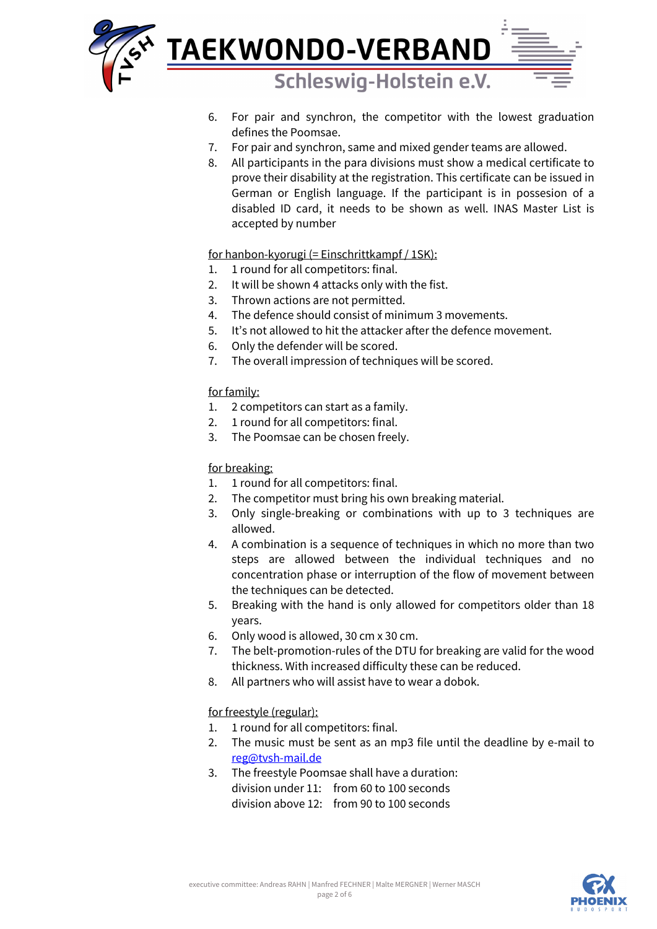

- 6. For pair and synchron, the competitor with the lowest graduation defines the Poomsae.
- 7. For pair and synchron, same and mixed gender teams are allowed.
- 8. All participants in the para divisions must show a medical certificate to prove their disability at the registration. This certificate can be issued in German or English language. If the participant is in possesion of a disabled ID card, it needs to be shown as well. INAS Master List is accepted by number

for hanbon-kyorugi (= Einschrittkampf / 1SK):

- 1. 1 round for all competitors: final.
- 2. It will be shown 4 attacks only with the fist.
- 3. Thrown actions are not permitted.
- 4. The defence should consist of minimum 3 movements.
- 5. It's not allowed to hit the attacker after the defence movement.
- 6. Only the defender will be scored.
- 7. The overall impression of techniques will be scored.

### for family:

- 1. 2 competitors can start as a family.
- 2. 1 round for all competitors: final.
- 3. The Poomsae can be chosen freely.

### for breaking:

- 1. 1 round for all competitors: final.
- 2. The competitor must bring his own breaking material.
- 3. Only single-breaking or combinations with up to 3 techniques are allowed.
- 4. A combination is a sequence of techniques in which no more than two steps are allowed between the individual techniques and no concentration phase or interruption of the flow of movement between the techniques can be detected.
- 5. Breaking with the hand is only allowed for competitors older than 18 years.
- 6. Only wood is allowed, 30 cm x 30 cm.
- 7. The belt-promotion-rules of the DTU for breaking are valid for the wood thickness. With increased difficulty these can be reduced.
- 8. All partners who will assist have to wear a dobok.

### for freestyle (regular):

- 1. 1 round for all competitors: final.
- 2. The music must be sent as an mp3 file until the deadline by e-mail to [reg@tvsh-mail.de](mailto:reg@tvsh-mail.de)
- 3. The freestyle Poomsae shall have a duration: division under 11: from 60 to 100 seconds division above 12: from 90 to 100 seconds

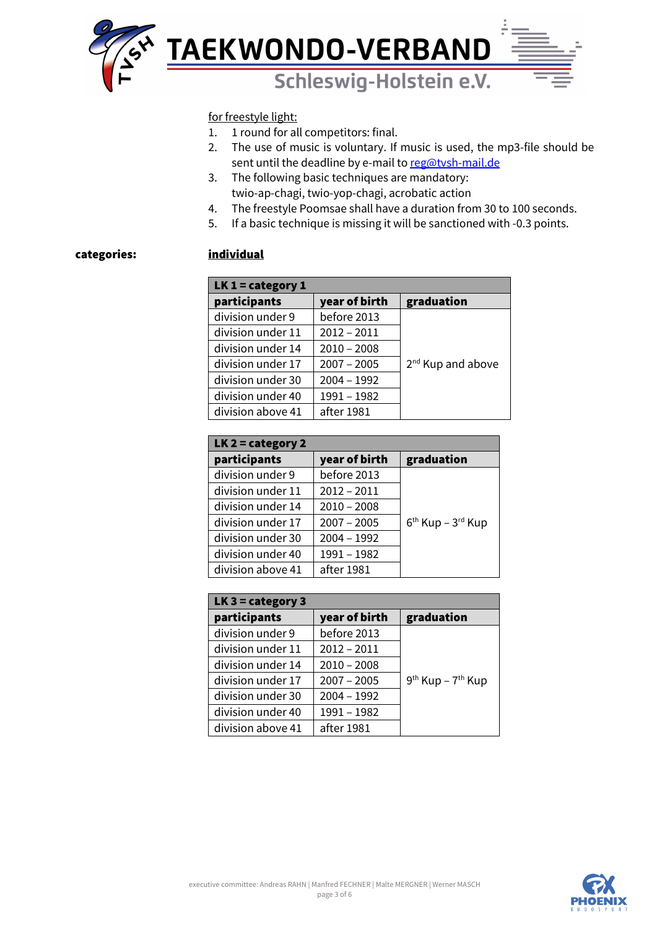

### for freestyle light:

- 1. 1 round for all competitors: final.
- 2. The use of music is voluntary. If music is used, the mp3-file should be sent until the deadline by e-mail to [reg@tvsh-mail.de](mailto:reg@tvsh-mail.de)
- 3. The following basic techniques are mandatory: twio-ap-chagi, twio-yop-chagi, acrobatic action
- 4. The freestyle Poomsae shall have a duration from 30 to 100 seconds.
- 5. If a basic technique is missing it will be sanctioned with -0.3 points.

### categories: individual

| $LK 1 = category 1$ |               |                               |  |
|---------------------|---------------|-------------------------------|--|
| participants        | year of birth | graduation                    |  |
| division under 9    | before 2013   |                               |  |
| division under 11   | $2012 - 2011$ |                               |  |
| division under 14   | $2010 - 2008$ |                               |  |
| division under 17   | $2007 - 2005$ | 2 <sup>nd</sup> Kup and above |  |
| division under 30   | $2004 - 1992$ |                               |  |
| division under 40   | 1991 - 1982   |                               |  |
| division above 41   | after 1981    |                               |  |

| $LK 2 = category 2$ |               |                       |  |
|---------------------|---------------|-----------------------|--|
| participants        | year of birth | graduation            |  |
| division under 9    | before 2013   |                       |  |
| division under 11   | $2012 - 2011$ |                       |  |
| division under 14   | $2010 - 2008$ |                       |  |
| division under 17   | $2007 - 2005$ | $6th$ Kup – $3rd$ Kup |  |
| division under 30   | $2004 - 1992$ |                       |  |
| division under 40   | 1991 - 1982   |                       |  |
| division above 41   | after 1981    |                       |  |

| $LK3 = category3$ |               |                                           |  |
|-------------------|---------------|-------------------------------------------|--|
| participants      | graduation    |                                           |  |
| division under 9  | before 2013   |                                           |  |
| division under 11 | $2012 - 2011$ |                                           |  |
| division under 14 | $2010 - 2008$ |                                           |  |
| division under 17 | $2007 - 2005$ | 9 <sup>th</sup> Kup - 7 <sup>th</sup> Kup |  |
| division under 30 | $2004 - 1992$ |                                           |  |
| division under 40 | 1991 - 1982   |                                           |  |
| division above 41 | after 1981    |                                           |  |

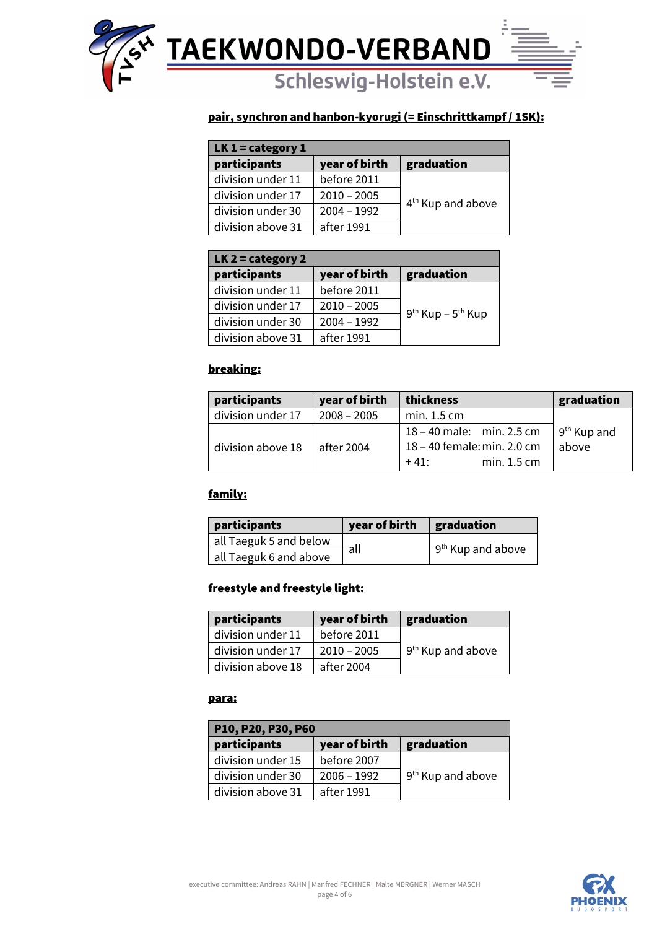

### pair, synchron and hanbon-kyorugi (= Einschrittkampf / 1SK):

| LK $1 =$ category $1$ |               |                               |  |
|-----------------------|---------------|-------------------------------|--|
| participants          | year of birth | graduation                    |  |
| division under 11     | before 2011   |                               |  |
| division under 17     | $2010 - 2005$ |                               |  |
| division under 30     | $2004 - 1992$ | 4 <sup>th</sup> Kup and above |  |
| division above 31     | after 1991    |                               |  |

| LK $2 =$ category 2 |               |                       |  |
|---------------------|---------------|-----------------------|--|
| participants        | year of birth | graduation            |  |
| division under 11   | before 2011   |                       |  |
| division under 17   | $2010 - 2005$ |                       |  |
| division under 30   | $2004 - 1992$ | $9th$ Kup – $5th$ Kup |  |
| division above 31   | after 1991    |                       |  |

### breaking:

| participants      | year of birth | thickness                   | graduation              |
|-------------------|---------------|-----------------------------|-------------------------|
| division under 17 | $2008 - 2005$ | min. 1.5 cm                 |                         |
|                   |               | 18 – 40 male: min. 2.5 cm   | 9 <sup>th</sup> Kup and |
| division above 18 | after 2004    | 18 - 40 female: min. 2.0 cm | above                   |
|                   |               | min. 1.5 cm<br>$+41:$       |                         |

### family:

| participants           | year of birth | graduation                    |
|------------------------|---------------|-------------------------------|
| all Taeguk 5 and below | all           | 9 <sup>th</sup> Kup and above |
| all Taeguk 6 and above |               |                               |

### freestyle and freestyle light:

| participants      | year of birth | graduation                    |
|-------------------|---------------|-------------------------------|
| division under 11 | before 2011   |                               |
| division under 17 | $2010 - 2005$ | 9 <sup>th</sup> Kup and above |
| division above 18 | after 2004    |                               |

### para:

| P10, P20, P30, P60 |               |                               |  |
|--------------------|---------------|-------------------------------|--|
| participants       | year of birth | graduation                    |  |
| division under 15  | before 2007   |                               |  |
| division under 30  | $2006 - 1992$ | 9 <sup>th</sup> Kup and above |  |
| division above 31  | after 1991    |                               |  |

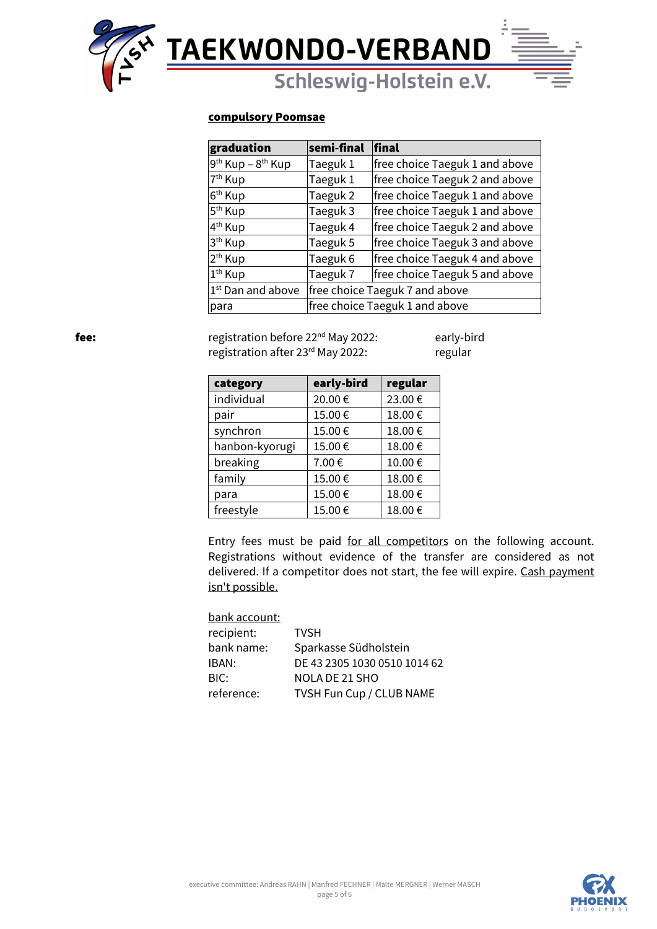

### compulsory Poomsae

| graduation                                | semi-final                     | final                          |  |
|-------------------------------------------|--------------------------------|--------------------------------|--|
| 9 <sup>th</sup> Kup - 8 <sup>th</sup> Kup | Taeguk 1                       | free choice Taeguk 1 and above |  |
| 7 <sup>th</sup> Kup                       | Taeguk 1                       | free choice Taeguk 2 and above |  |
| 6 <sup>th</sup> Kup                       | Taeguk 2                       | free choice Taeguk 1 and above |  |
| 5 <sup>th</sup> Kup                       | Taeguk 3                       | free choice Taeguk 1 and above |  |
| 4 <sup>th</sup> Kup                       | Taeguk 4                       | free choice Taeguk 2 and above |  |
| 3 <sup>th</sup> Kup                       | Taeguk 5                       | free choice Taeguk 3 and above |  |
| 2 <sup>th</sup> Kup                       | Taeguk 6                       | free choice Taeguk 4 and above |  |
| 1 <sup>th</sup> Kup                       | Taeguk 7                       | free choice Taeguk 5 and above |  |
| 1 <sup>st</sup> Dan and above             | free choice Taeguk 7 and above |                                |  |
| para                                      |                                | free choice Taeguk 1 and above |  |

fee: **registration before 22<sup>nd</sup> May 2022:** early-bird registration after 23<sup>rd</sup> May 2022: regular

| category       | early-bird | regular |
|----------------|------------|---------|
| individual     | 20.00€     | 23.00€  |
| pair           | 15.00€     | 18.00€  |
| synchron       | 15.00€     | 18.00€  |
| hanbon-kyorugi | 15.00€     | 18.00€  |
| breaking       | 7.00€      | 10.00€  |
| family         | 15.00€     | 18.00€  |
| para           | 15.00€     | 18.00€  |
| freestyle      | 15.00€     | 18.00€  |

Entry fees must be paid for all competitors on the following account. Registrations without evidence of the transfer are considered as not delivered. If a competitor does not start, the fee will expire. Cash payment isn't possible.

| bank account: |                              |
|---------------|------------------------------|
| recipient:    | <b>TVSH</b>                  |
| bank name:    | Sparkasse Südholstein        |
| IBAN:         | DE 43 2305 1030 0510 1014 62 |
| BIC:          | NOLA DE 21 SHO               |
| reference:    | TVSH Fun Cup / CLUB NAME     |